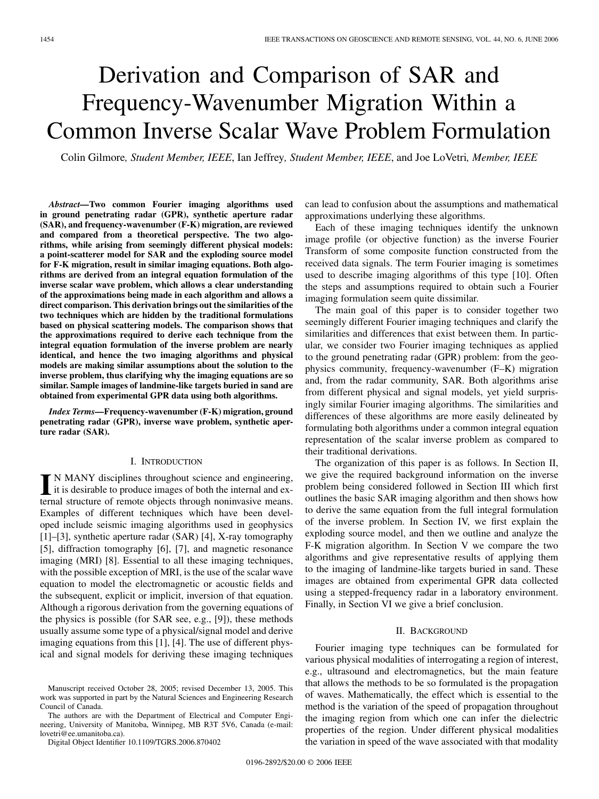# Derivation and Comparison of SAR and Frequency-Wavenumber Migration Within a Common Inverse Scalar Wave Problem Formulation

Colin Gilmore*, Student Member, IEEE*, Ian Jeffrey*, Student Member, IEEE*, and Joe LoVetri*, Member, IEEE*

*Abstract—***Two common Fourier imaging algorithms used in ground penetrating radar (GPR), synthetic aperture radar (SAR), and frequency-wavenumber (F-K) migration, are reviewed and compared from a theoretical perspective. The two algorithms, while arising from seemingly different physical models: a point-scatterer model for SAR and the exploding source model for F-K migration, result in similar imaging equations. Both algorithms are derived from an integral equation formulation of the inverse scalar wave problem, which allows a clear understanding of the approximations being made in each algorithm and allows a direct comparison. This derivation brings out the similarities of the two techniques which are hidden by the traditional formulations based on physical scattering models. The comparison shows that the approximations required to derive each technique from the integral equation formulation of the inverse problem are nearly identical, and hence the two imaging algorithms and physical models are making similar assumptions about the solution to the inverse problem, thus clarifying why the imaging equations are so similar. Sample images of landmine-like targets buried in sand are obtained from experimental GPR data using both algorithms.**

*Index Terms—***Frequency-wavenumber (F-K) migration, ground penetrating radar (GPR), inverse wave problem, synthetic aperture radar (SAR).**

### I. INTRODUCTION

IN MANY disciplines throughout science and engineering,<br>it is desirable to produce images of both the internal and ex-<br>ternal structure of remote objects through popinuosius means ternal structure of remote objects through noninvasive means. Examples of different techniques which have been developed include seismic imaging algorithms used in geophysics [[1\]](#page-6-0)–[[3](#page-6-0)], synthetic aperture radar (SAR) [[4\]](#page-6-0), X-ray tomography [[5\]](#page-6-0), diffraction tomography [[6\]](#page-6-0), [\[7](#page-6-0)], and magnetic resonance imaging (MRI) [[8\]](#page-6-0). Essential to all these imaging techniques, with the possible exception of MRI, is the use of the scalar wave equation to model the electromagnetic or acoustic fields and the subsequent, explicit or implicit, inversion of that equation. Although a rigorous derivation from the governing equations of the physics is possible (for SAR see, e.g., [\[9\]](#page-6-0)), these methods usually assume some type of a physical/signal model and derive imaging equations from this [[1](#page-6-0)], [\[4](#page-6-0)]. The use of different physical and signal models for deriving these imaging techniques

The authors are with the Department of Electrical and Computer Engineering, University of Manitoba, Winnipeg, MB R3T 5V6, Canada (e-mail: lovetri@ee.umanitoba.ca).

Digital Object Identifier 10.1109/TGRS.2006.870402

can lead to confusion about the assumptions and mathematical approximations underlying these algorithms.

Each of these imaging techniques identify the unknown image profile (or objective function) as the inverse Fourier Transform of some composite function constructed from the received data signals. The term Fourier imaging is sometimes used to describe imaging algorithms of this type [\[10](#page-6-0)]. Often the steps and assumptions required to obtain such a Fourier imaging formulation seem quite dissimilar.

The main goal of this paper is to consider together two seemingly different Fourier imaging techniques and clarify the similarities and differences that exist between them. In particular, we consider two Fourier imaging techniques as applied to the ground penetrating radar (GPR) problem: from the geophysics community, frequency-wavenumber (F–K) migration and, from the radar community, SAR. Both algorithms arise from different physical and signal models, yet yield surprisingly similar Fourier imaging algorithms. The similarities and differences of these algorithms are more easily delineated by formulating both algorithms under a common integral equation representation of the scalar inverse problem as compared to their traditional derivations.

The organization of this paper is as follows. In Section II, we give the required background information on the inverse problem being considered followed in Section III which first outlines the basic SAR imaging algorithm and then shows how to derive the same equation from the full integral formulation of the inverse problem. In Section IV, we first explain the exploding source model, and then we outline and analyze the F-K migration algorithm. In Section V we compare the two algorithms and give representative results of applying them to the imaging of landmine-like targets buried in sand. These images are obtained from experimental GPR data collected using a stepped-frequency radar in a laboratory environment. Finally, in Section VI we give a brief conclusion.

# II. BACKGROUND

Fourier imaging type techniques can be formulated for various physical modalities of interrogating a region of interest, e.g., ultrasound and electromagnetics, but the main feature that allows the methods to be so formulated is the propagation of waves. Mathematically, the effect which is essential to the method is the variation of the speed of propagation throughout the imaging region from which one can infer the dielectric properties of the region. Under different physical modalities the variation in speed of the wave associated with that modality

Manuscript received October 28, 2005; revised December 13, 2005. This work was supported in part by the Natural Sciences and Engineering Research Council of Canada.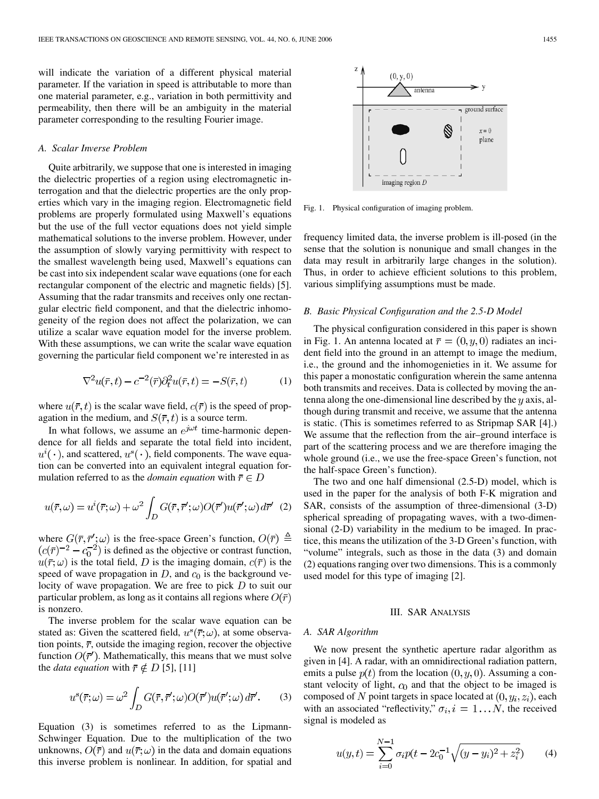will indicate the variation of a different physical material parameter. If the variation in speed is attributable to more than one material parameter, e.g., variation in both permittivity and permeability, then there will be an ambiguity in the material parameter corresponding to the resulting Fourier image.

### *A. Scalar Inverse Problem*

Quite arbitrarily, we suppose that one is interested in imaging the dielectric properties of a region using electromagnetic interrogation and that the dielectric properties are the only properties which vary in the imaging region. Electromagnetic field problems are properly formulated using Maxwell's equations but the use of the full vector equations does not yield simple mathematical solutions to the inverse problem. However, under the assumption of slowly varying permittivity with respect to the smallest wavelength being used, Maxwell's equations can be cast into six independent scalar wave equations (one for each rectangular component of the electric and magnetic fields) [\[5](#page-6-0)]. Assuming that the radar transmits and receives only one rectangular electric field component, and that the dielectric inhomogeneity of the region does not affect the polarization, we can utilize a scalar wave equation model for the inverse problem. With these assumptions, we can write the scalar wave equation governing the particular field component we're interested in as

$$
\nabla^2 u(\bar{r}, t) - c^{-2}(\bar{r}) \partial_t^2 u(\bar{r}, t) = -S(\bar{r}, t) \tag{1}
$$

where  $u(\bar{r}, t)$  is the scalar wave field,  $c(\bar{r})$  is the speed of propagation in the medium, and  $S(\overline{r}, t)$  is a source term.

In what follows, we assume an  $e^{j\omega t}$  time-harmonic dependence for all fields and separate the total field into incident,  $u^i(\cdot)$ , and scattered,  $u^s(\cdot)$ , field components. The wave equation can be converted into an equivalent integral equation formulation referred to as the *domain equation* with  $\bar{r} \in D$ 

$$
u(\bar{r}, \omega) = u^{i}(\bar{r}; \omega) + \omega^{2} \int_{D} G(\bar{r}, \bar{r}'; \omega) O(\bar{r}') u(\bar{r}'; \omega) d\bar{r}' \tag{2}
$$

where  $G(\bar{r}, \bar{r}'; \omega)$  is the free-space Green's function,  $O(\bar{r}) \triangleq$  $(c(\overline{r})^{-2} - c_0^{-2})$  is defined as the objective or contrast function,  $u(\bar{r}; \omega)$  is the total field, D is the imaging domain,  $c(\bar{r})$  is the speed of wave propagation in  $D$ , and  $c<sub>0</sub>$  is the background velocity of wave propagation. We are free to pick  $D$  to suit our particular problem, as long as it contains all regions where  $O(\bar{r})$ is nonzero.

The inverse problem for the scalar wave equation can be stated as: Given the scattered field,  $u^s(\bar{r}; \omega)$ , at some observation points,  $\bar{r}$ , outside the imaging region, recover the objective function  $O(\bar{r}')$ . Mathematically, this means that we must solve the *data equation* with  $\bar{r} \notin D$  [\[5](#page-6-0)], [[11\]](#page-6-0)

$$
u^{s}(\bar{r};\omega) = \omega^{2} \int_{D} G(\bar{r}, \bar{r}';\omega) O(\bar{r}') u(\bar{r}';\omega) d\bar{r}'. \qquad (3)
$$

Equation (3) is sometimes referred to as the Lipmann-Schwinger Equation. Due to the multiplication of the two unknowns,  $O(\overline{r})$  and  $u(\overline{r}; \omega)$  in the data and domain equations this inverse problem is nonlinear. In addition, for spatial and

Fig. 1. Physical configuration of imaging problem.

frequency limited data, the inverse problem is ill-posed (in the sense that the solution is nonunique and small changes in the data may result in arbitrarily large changes in the solution). Thus, in order to achieve efficient solutions to this problem, various simplifying assumptions must be made.

# *B. Basic Physical Configuration and the 2.5-D Model*

The physical configuration considered in this paper is shown in Fig. 1. An antenna located at  $\bar{r} = (0, y, 0)$  radiates an incident field into the ground in an attempt to image the medium, i.e., the ground and the inhomogenieties in it. We assume for this paper a monostatic configuration wherein the same antenna both transmits and receives. Data is collected by moving the antenna along the one-dimensional line described by the  $y$  axis, although during transmit and receive, we assume that the antenna is static. (This is sometimes referred to as Stripmap SAR [\[4](#page-6-0)].) We assume that the reflection from the air–ground interface is part of the scattering process and we are therefore imaging the whole ground (i.e., we use the free-space Green's function, not the half-space Green's function).

The two and one half dimensional (2.5-D) model, which is used in the paper for the analysis of both F-K migration and SAR, consists of the assumption of three-dimensional (3-D) spherical spreading of propagating waves, with a two-dimensional (2-D) variability in the medium to be imaged. In practice, this means the utilization of the 3-D Green's function, with "volume" integrals, such as those in the data (3) and domain (2) equations ranging over two dimensions. This is a commonly used model for this type of imaging [[2\]](#page-6-0).

#### III. SAR ANALYSIS

#### *A. SAR Algorithm*

We now present the synthetic aperture radar algorithm as given in [[4\]](#page-6-0). A radar, with an omnidirectional radiation pattern, emits a pulse  $p(t)$  from the location  $(0, y, 0)$ . Assuming a constant velocity of light,  $c_0$  and that the object to be imaged is composed of N point targets in space located at  $(0, y_i, z_i)$ , each with an associated "reflectivity,"  $\sigma_i$ ,  $i = 1...N$ , the received signal is modeled as

$$
u(y,t) = \sum_{i=0}^{N-1} \sigma_i p(t - 2c_0^{-1} \sqrt{(y - y_i)^2 + z_i^2})
$$
 (4)

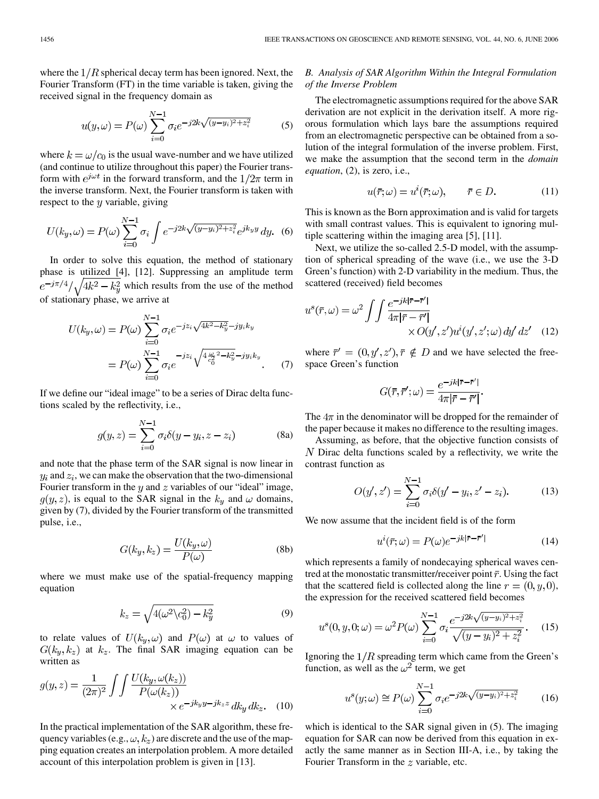where the  $1/R$  spherical decay term has been ignored. Next, the Fourier Transform (FT) in the time variable is taken, giving the received signal in the frequency domain as

$$
u(y,\omega) = P(\omega) \sum_{i=0}^{N-1} \sigma_i e^{-j2k\sqrt{(y-y_i)^2 + z_i^2}}
$$
 (5)

where  $k = \omega/c_0$  is the usual wave-number and we have utilized (and continue to utilize throughout this paper) the Fourier transform with  $e^{j\omega t}$  in the forward transform, and the  $1/2\pi$  term in the inverse transform. Next, the Fourier transform is taken with respect to the  $y$  variable, giving

$$
U(k_y, \omega) = P(\omega) \sum_{i=0}^{N-1} \sigma_i \int e^{-j2k\sqrt{(y-y_i)^2 + z_i^2}} e^{jk_y y} dy.
$$
 (6)

In order to solve this equation, the method of stationary phase is utilized [\[4](#page-6-0)], [\[12](#page-6-0)]. Suppressing an amplitude term  $e^{-j\pi/4}/\sqrt{4k^2-k_y^2}$  which results from the use of the method of stationary phase, we arrive at

$$
U(k_y, \omega) = P(\omega) \sum_{i=0}^{N-1} \sigma_i e^{-j z_i \sqrt{4k^2 - k_y^2} - j y_i k_y}
$$
  
=  $P(\omega) \sum_{i=0}^{N-1} \sigma_i e^{-j z_i \sqrt{4 \frac{\omega}{c_0^2}^2 - k_y^2} - j y_i k_y}$ . (7)

If we define our "ideal image" to be a series of Dirac delta functions scaled by the reflectivity, i.e.,

$$
g(y, z) = \sum_{i=0}^{N-1} \sigma_i \delta(y - y_i, z - z_i)
$$
 (8a)

and note that the phase term of the SAR signal is now linear in  $y_i$  and  $z_i$ , we can make the observation that the two-dimensional Fourier transform in the  $y$  and  $z$  variables of our "ideal" image,  $g(y, z)$ , is equal to the SAR signal in the  $k_y$  and  $\omega$  domains, given by (7), divided by the Fourier transform of the transmitted pulse, i.e.,

$$
G(k_y, k_z) = \frac{U(k_y, \omega)}{P(\omega)}
$$
 (8b)

where we must make use of the spatial-frequency mapping equation

$$
k_z = \sqrt{4(\omega^2 \backslash c_0^2) - k_y^2}
$$
 (9)

to relate values of  $U(k_u, \omega)$  and  $P(\omega)$  at  $\omega$  to values of  $G(k_y, k_z)$  at  $k_z$ . The final SAR imaging equation can be written as

$$
g(y,z) = \frac{1}{(2\pi)^2} \int \int \frac{U(k_y, \omega(k_z))}{P(\omega(k_z))} \times e^{-jk_y y - jk_z z} dk_y dk_z.
$$
 (10)

In the practical implementation of the SAR algorithm, these frequency variables (e.g.,  $\omega$ ,  $k_z$ ) are discrete and the use of the mapping equation creates an interpolation problem. A more detailed account of this interpolation problem is given in [[13\]](#page-6-0).

# *B. Analysis of SAR Algorithm Within the Integral Formulation of the Inverse Problem*

The electromagnetic assumptions required for the above SAR derivation are not explicit in the derivation itself. A more rigorous formulation which lays bare the assumptions required from an electromagnetic perspective can be obtained from a solution of the integral formulation of the inverse problem. First, we make the assumption that the second term in the *domain equation*, (2), is zero, i.e.,

$$
u(\bar{r}; \omega) = u^{i}(\bar{r}; \omega), \qquad \bar{r} \in D.
$$
 (11)

This is known as the Born approximation and is valid for targets with small contrast values. This is equivalent to ignoring multiple scattering within the imaging area [\[5](#page-6-0)], [[11\]](#page-6-0).

Next, we utilize the so-called 2.5-D model, with the assumption of spherical spreading of the wave (i.e., we use the 3-D Green's function) with 2-D variability in the medium. Thus, the scattered (received) field becomes

$$
u^{s}(\bar{r}, \omega) = \omega^{2} \int \int \frac{e^{-jk|\bar{r} - \bar{r}'|}}{4\pi |\bar{r} - \bar{r}'|} \times O(y', z') u^{i}(y', z'; \omega) dy' dz' \quad (12)
$$

where  $\bar{r}' = (0, y', z'), \bar{r} \notin D$  and we have selected the freespace Green's function

$$
G(\bar{r}, \bar{r}'; \omega) = \frac{e^{-jk|\bar{r} - \bar{r}'|}}{4\pi |\bar{r} - \bar{r}'|}.
$$

The  $4\pi$  in the denominator will be dropped for the remainder of the paper because it makes no difference to the resulting images.

Assuming, as before, that the objective function consists of  $N$  Dirac delta functions scaled by a reflectivity, we write the contrast function as

$$
O(y', z') = \sum_{i=0}^{N-1} \sigma_i \delta(y' - y_i, z' - z_i).
$$
 (13)

We now assume that the incident field is of the form

$$
u^{i}(\overline{r};\omega) = P(\omega)e^{-jk|\overline{r}-\overline{r}'|}
$$
\n(14)

which represents a family of nondecaying spherical waves centred at the monostatic transmitter/receiver point  $\bar{r}$ . Using the fact that the scattered field is collected along the line  $r = (0, y, 0)$ , the expression for the received scattered field becomes

$$
u^{s}(0, y, 0; \omega) = \omega^{2} P(\omega) \sum_{i=0}^{N-1} \sigma_{i} \frac{e^{-j2k\sqrt{(y-y_{i})^{2} + z_{i}^{2}}}}{\sqrt{(y-y_{i})^{2} + z_{i}^{2}}}.
$$
 (15)

Ignoring the  $1/R$  spreading term which came from the Green's function, as well as the  $\omega^2$  term, we get

$$
u^{s}(y; \omega) \cong P(\omega) \sum_{i=0}^{N-1} \sigma_{i} e^{-j2k\sqrt{(y-y_{i})^{2} + z_{i}^{2}}}
$$
 (16)

which is identical to the SAR signal given in  $(5)$ . The imaging equation for SAR can now be derived from this equation in exactly the same manner as in Section III-A, i.e., by taking the Fourier Transform in the  $z$  variable, etc.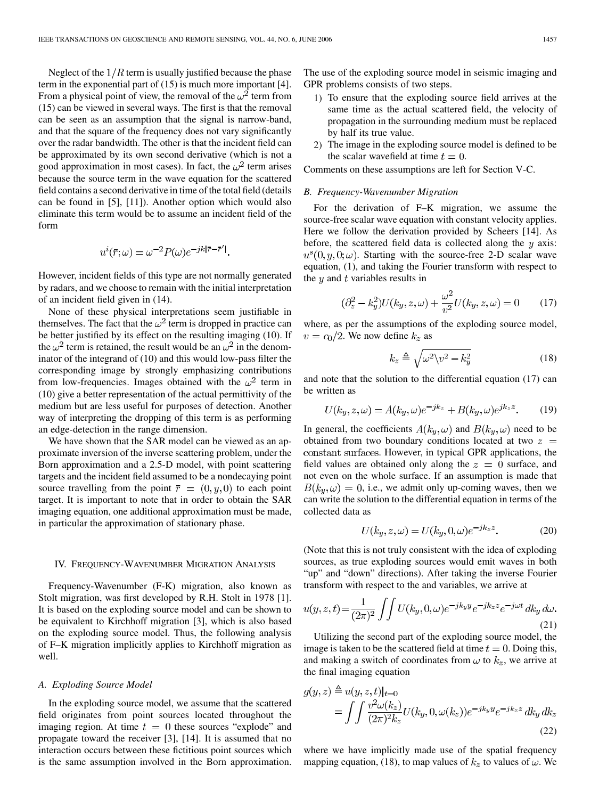Neglect of the  $1/R$  term is usually justified because the phase term in the exponential part of (15) is much more important [\[4](#page-6-0)]. From a physical point of view, the removal of the  $\omega^2$  term from (15) can be viewed in several ways. The first is that the removal can be seen as an assumption that the signal is narrow-band, and that the square of the frequency does not vary significantly over the radar bandwidth. The other is that the incident field can be approximated by its own second derivative (which is not a good approximation in most cases). In fact, the  $\omega^2$  term arises because the source term in the wave equation for the scattered field contains a second derivative in time of the total field (details can be found in [\[5](#page-6-0)], [\[11](#page-6-0)]). Another option which would also eliminate this term would be to assume an incident field of the form

$$
u^{i}(\overline{r};\omega) = \omega^{-2} P(\omega) e^{-jk|\overline{r}-\overline{r}'|}.
$$

However, incident fields of this type are not normally generated by radars, and we choose to remain with the initial interpretation of an incident field given in (14).

None of these physical interpretations seem justifiable in themselves. The fact that the  $\omega^2$  term is dropped in practice can be better justified by its effect on the resulting imaging (10). If the  $\omega^2$  term is retained, the result would be an  $\omega^2$  in the denominator of the integrand of (10) and this would low-pass filter the corresponding image by strongly emphasizing contributions from low-frequencies. Images obtained with the  $\omega^2$  term in (10) give a better representation of the actual permittivity of the medium but are less useful for purposes of detection. Another way of interpreting the dropping of this term is as performing an edge-detection in the range dimension.

We have shown that the SAR model can be viewed as an approximate inversion of the inverse scattering problem, under the Born approximation and a 2.5-D model, with point scattering targets and the incident field assumed to be a nondecaying point source travelling from the point  $\overline{r} = (0, y, 0)$  to each point target. It is important to note that in order to obtain the SAR imaging equation, one additional approximation must be made, in particular the approximation of stationary phase.

#### IV. FREQUENCY-WAVENUMBER MIGRATION ANALYSIS

Frequency-Wavenumber (F-K) migration, also known as Stolt migration, was first developed by R.H. Stolt in 1978 [\[1](#page-6-0)]. It is based on the exploding source model and can be shown to be equivalent to Kirchhoff migration [[3\]](#page-6-0), which is also based on the exploding source model. Thus, the following analysis of F–K migration implicitly applies to Kirchhoff migration as well.

#### *A. Exploding Source Model*

In the exploding source model, we assume that the scattered field originates from point sources located throughout the imaging region. At time  $t = 0$  these sources "explode" and propagate toward the receiver [\[3](#page-6-0)], [[14\]](#page-6-0). It is assumed that no interaction occurs between these fictitious point sources which is the same assumption involved in the Born approximation.

The use of the exploding source model in seismic imaging and GPR problems consists of two steps.

- 1) To ensure that the exploding source field arrives at the same time as the actual scattered field, the velocity of propagation in the surrounding medium must be replaced by half its true value.
- 2) The image in the exploding source model is defined to be the scalar wavefield at time  $t = 0$ .

Comments on these assumptions are left for Section V-C.

#### *B. Frequency-Wavenumber Migration*

For the derivation of F–K migration, we assume the source-free scalar wave equation with constant velocity applies. Here we follow the derivation provided by Scheers [\[14](#page-6-0)]. As before, the scattered field data is collected along the  $y$  axis:  $u^{s}(0, y, 0; \omega)$ . Starting with the source-free 2-D scalar wave equation, (1), and taking the Fourier transform with respect to the  $y$  and  $t$  variables results in

$$
(\partial_z^2 - k_y^2)U(k_y, z, \omega) + \frac{\omega^2}{v^2}U(k_y, z, \omega) = 0 \tag{17}
$$

where, as per the assumptions of the exploding source model,  $v = c_0/2$ . We now define  $k_z$  as

$$
k_z \triangleq \sqrt{\omega^2 \sqrt{v^2 - k_y^2}}
$$
 (18)

and note that the solution to the differential equation (17) can be written as

$$
U(k_y, z, \omega) = A(k_y, \omega)e^{-jk_z} + B(k_y, \omega)e^{jk_z z}.
$$
 (19)

In general, the coefficients  $A(k_y, \omega)$  and  $B(k_y, \omega)$  need to be obtained from two boundary conditions located at two  $z =$ constant surfaces. However, in typical GPR applications, the field values are obtained only along the  $z = 0$  surface, and not even on the whole surface. If an assumption is made that  $B(k_y, \omega) = 0$ , i.e., we admit only up-coming waves, then we can write the solution to the differential equation in terms of the collected data as

$$
U(k_y, z, \omega) = U(k_y, 0, \omega)e^{-jk_z z}.
$$
 (20)

(Note that this is not truly consistent with the idea of exploding sources, as true exploding sources would emit waves in both "up" and "down" directions). After taking the inverse Fourier transform with respect to the and variables, we arrive at

$$
u(y, z, t) = \frac{1}{(2\pi)^2} \int \int U(k_y, 0, \omega) e^{-jk_y y} e^{-jk_z z} e^{-j\omega t} dk_y d\omega.
$$
\n(21)

Utilizing the second part of the exploding source model, the image is taken to be the scattered field at time  $t = 0$ . Doing this, and making a switch of coordinates from  $\omega$  to  $k_z$ , we arrive at the final imaging equation

$$
g(y, z) \triangleq u(y, z, t)|_{t=0}
$$
  
= 
$$
\int \int \frac{v^2 \omega(k_z)}{(2\pi)^2 k_z} U(k_y, 0, \omega(k_z)) e^{-jk_y y} e^{-jk_z z} dk_y dk_z
$$
 (22)

where we have implicitly made use of the spatial frequency mapping equation, (18), to map values of  $k_z$  to values of  $\omega$ . We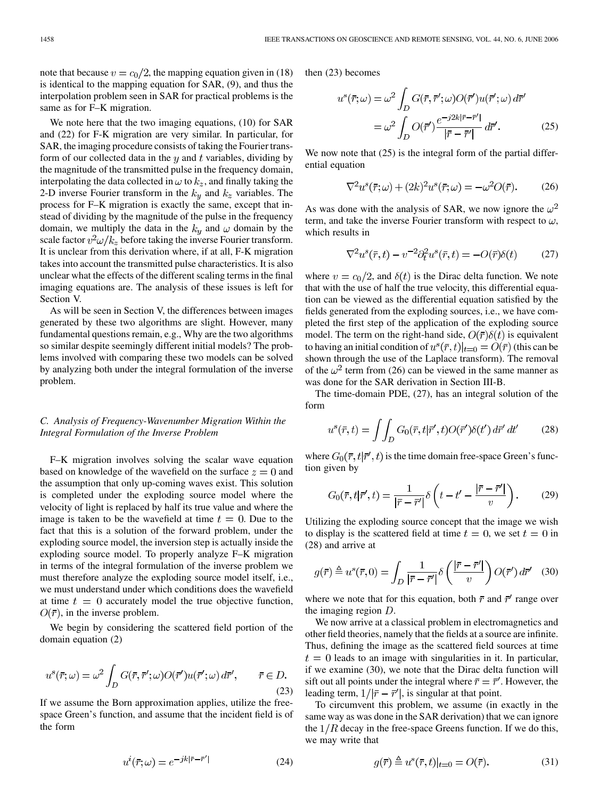note that because  $v = c_0/2$ , the mapping equation given in (18) is identical to the mapping equation for SAR, (9), and thus the interpolation problem seen in SAR for practical problems is the same as for F–K migration.

We note here that the two imaging equations, (10) for SAR and (22) for F-K migration are very similar. In particular, for SAR, the imaging procedure consists of taking the Fourier transform of our collected data in the  $y$  and  $t$  variables, dividing by the magnitude of the transmitted pulse in the frequency domain, interpolating the data collected in  $\omega$  to  $k_z$ , and finally taking the 2-D inverse Fourier transform in the  $k_y$  and  $k_z$  variables. The process for F–K migration is exactly the same, except that instead of dividing by the magnitude of the pulse in the frequency domain, we multiply the data in the  $k_y$  and  $\omega$  domain by the scale factor  $v^2 \omega / k_z$  before taking the inverse Fourier transform. It is unclear from this derivation where, if at all, F-K migration takes into account the transmitted pulse characteristics. It is also unclear what the effects of the different scaling terms in the final imaging equations are. The analysis of these issues is left for Section V.

As will be seen in Section V, the differences between images generated by these two algorithms are slight. However, many fundamental questions remain, e.g., Why are the two algorithms so similar despite seemingly different initial models? The problems involved with comparing these two models can be solved by analyzing both under the integral formulation of the inverse problem.

# *C. Analysis of Frequency-Wavenumber Migration Within the Integral Formulation of the Inverse Problem*

F–K migration involves solving the scalar wave equation based on knowledge of the wavefield on the surface  $z = 0$  and the assumption that only up-coming waves exist. This solution is completed under the exploding source model where the velocity of light is replaced by half its true value and where the image is taken to be the wavefield at time  $t = 0$ . Due to the fact that this is a solution of the forward problem, under the exploding source model, the inversion step is actually inside the exploding source model. To properly analyze F–K migration in terms of the integral formulation of the inverse problem we must therefore analyze the exploding source model itself, i.e., we must understand under which conditions does the wavefield at time  $t = 0$  accurately model the true objective function,  $O(\bar{r})$ , in the inverse problem.

We begin by considering the scattered field portion of the domain equation (2)

$$
u^{s}(\bar{r};\omega) = \omega^{2} \int_{D} G(\bar{r}, \bar{r}';\omega) O(\bar{r}') u(\bar{r}';\omega) d\bar{r}', \qquad \bar{r} \in D.
$$
\n(23)

If we assume the Born approximation applies, utilize the freespace Green's function, and assume that the incident field is of the form

$$
u^{i}(\bar{r};\omega) = e^{-jk|\bar{r}-\bar{r}'|}
$$
 (24)

then (23) becomes

$$
u^{s}(\bar{r};\omega) = \omega^{2} \int_{D} G(\bar{r},\bar{r}';\omega)O(\bar{r}')u(\bar{r}';\omega) d\bar{r}'
$$

$$
= \omega^{2} \int_{D} O(\bar{r}') \frac{e^{-j2k|\bar{r}-\bar{r}'|}}{|\bar{r}-\bar{r}'|} d\bar{r}'. \qquad (25)
$$

We now note that  $(25)$  is the integral form of the partial differential equation

$$
\nabla^2 u^s(\bar{r}; \omega) + (2k)^2 u^s(\bar{r}; \omega) = -\omega^2 O(\bar{r}).
$$
 (26)

As was done with the analysis of SAR, we now ignore the  $\omega^2$ term, and take the inverse Fourier transform with respect to  $\omega$ , which results in

$$
\nabla^2 u^s(\bar{r}, t) - v^{-2} \partial_t^2 u^s(\bar{r}, t) = -O(\bar{r}) \delta(t) \tag{27}
$$

where  $v = c_0/2$ , and  $\delta(t)$  is the Dirac delta function. We note that with the use of half the true velocity, this differential equation can be viewed as the differential equation satisfied by the fields generated from the exploding sources, i.e., we have completed the first step of the application of the exploding source model. The term on the right-hand side,  $O(\bar{r})\delta(t)$  is equivalent to having an initial condition of  $u^s(\bar{r}, t)|_{t=0} = O(\bar{r})$  (this can be shown through the use of the Laplace transform). The removal of the  $\omega^2$  term from (26) can be viewed in the same manner as was done for the SAR derivation in Section III-B.

The time-domain PDE, (27), has an integral solution of the form

$$
u^s(\bar{r},t) = \iint_D G_0(\bar{r},t|\bar{r}',t)O(\bar{r}')\delta(t') d\bar{r}' dt'
$$
 (28)

where  $G_0(\bar{r}, t | \bar{r}', t)$  is the time domain free-space Green's function given by

$$
G_0(\bar{r}, t | \bar{r}', t) = \frac{1}{|\bar{r} - \bar{r}'|} \delta\left(t - t' - \frac{|\bar{r} - \bar{r}'|}{v}\right). \tag{29}
$$

Utilizing the exploding source concept that the image we wish to display is the scattered field at time  $t = 0$ , we set  $t = 0$  in (28) and arrive at

$$
g(\overline{r}) \triangleq u^s(\overline{r}, 0) = \int_D \frac{1}{|\overline{r} - \overline{r}'|} \delta\left(\frac{|\overline{r} - \overline{r}'|}{v}\right) O(\overline{r}') d\overline{r}' \quad (30)
$$

where we note that for this equation, both  $\bar{r}$  and  $\bar{r}'$  range over the imaging region  $D$ .

We now arrive at a classical problem in electromagnetics and other field theories, namely that the fields at a source are infinite. Thus, defining the image as the scattered field sources at time  $t=0$  leads to an image with singularities in it. In particular, if we examine (30), we note that the Dirac delta function will sift out all points under the integral where  $\bar{r} = \bar{r}'$ . However, the leading term,  $1/|\bar{r} - \bar{r}'|$ , is singular at that point.

To circumvent this problem, we assume (in exactly in the same way as was done in the SAR derivation) that we can ignore the  $1/R$  decay in the free-space Greens function. If we do this, we may write that

$$
g(\bar{r}) \triangleq u^s(\bar{r}, t)|_{t=0} = O(\bar{r}).\tag{31}
$$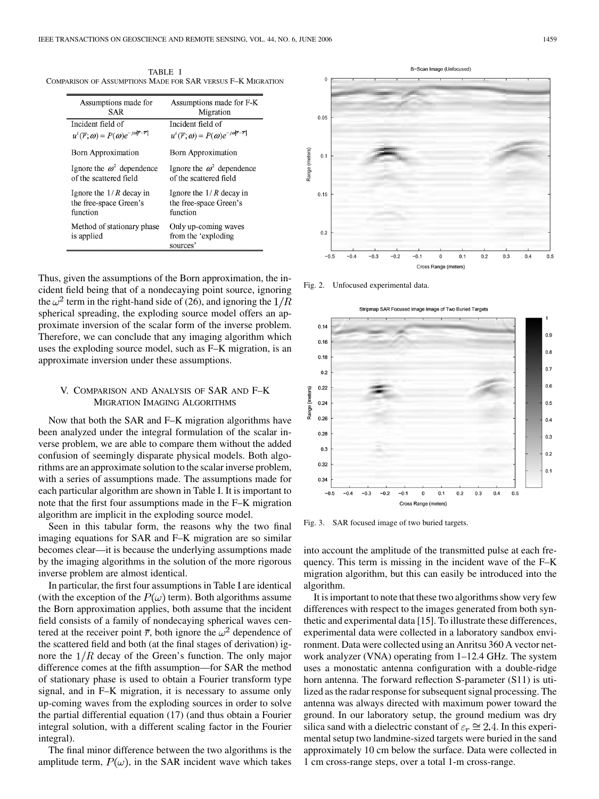TABLE I COMPARISON OF ASSUMPTIONS MADE FOR SAR VERSUS F–K MIGRATION

| Assumptions made for                                                            | Assumptions made for F-K                                                        |
|---------------------------------------------------------------------------------|---------------------------------------------------------------------------------|
| SAR                                                                             | Migration                                                                       |
| Incident field of                                                               | Incident field of                                                               |
| $u^{i}(\overline{r};\omega) = P(\omega)e^{-j\omega \overline{r}-\overline{r} }$ | $u^{i}(\overline{r};\omega) = P(\omega)e^{-j\omega \overline{r}-\overline{r} }$ |
| <b>Born Approximation</b>                                                       | <b>Born Approximation</b>                                                       |
| Ignore the $\omega^2$ dependence                                                | Ignore the $\omega^2$ dependence                                                |
| of the scattered field                                                          | of the scattered field                                                          |
| Ignore the $1/R$ decay in                                                       | Ignore the $1/R$ decay in                                                       |
| the free-space Green's                                                          | the free-space Green's                                                          |
| function                                                                        | function                                                                        |
| Method of stationary phase<br>is applied                                        | Only up-coming waves<br>from the 'exploding<br>sources'                         |



Fig. 2. Unfocused experimental data.

ap SAR Focused Image Image of Two Buried Target



Fig. 3. SAR focused image of two buried targets.

into account the amplitude of the transmitted pulse at each frequency. This term is missing in the incident wave of the F–K migration algorithm, but this can easily be introduced into the algorithm.

It is important to note that these two algorithms show very few differences with respect to the images generated from both synthetic and experimental data [[15\]](#page-6-0). To illustrate these differences, experimental data were collected in a laboratory sandbox environment. Data were collected using an Anritsu 360 A vector network analyzer (VNA) operating from 1–12.4 GHz. The system uses a monostatic antenna configuration with a double-ridge horn antenna. The forward reflection S-parameter (S11) is utilized as the radar response for subsequent signal processing. The antenna was always directed with maximum power toward the ground. In our laboratory setup, the ground medium was dry silica sand with a dielectric constant of  $\varepsilon_r \cong 2.4$ . In this experimental setup two landmine-sized targets were buried in the sand approximately 10 cm below the surface. Data were collected in 1 cm cross-range steps, over a total 1-m cross-range.

Thus, given the assumptions of the Born approximation, the incident field being that of a nondecaying point source, ignoring the  $\omega^2$  term in the right-hand side of (26), and ignoring the  $1/R$ spherical spreading, the exploding source model offers an approximate inversion of the scalar form of the inverse problem. Therefore, we can conclude that any imaging algorithm which uses the exploding source model, such as F–K migration, is an approximate inversion under these assumptions.

# V. COMPARISON AND ANALYSIS OF SAR AND F–K MIGRATION IMAGING ALGORITHMS

Now that both the SAR and F–K migration algorithms have been analyzed under the integral formulation of the scalar inverse problem, we are able to compare them without the added confusion of seemingly disparate physical models. Both algorithms are an approximate solution to the scalar inverse problem, with a series of assumptions made. The assumptions made for each particular algorithm are shown in Table I. It is important to note that the first four assumptions made in the F–K migration algorithm are implicit in the exploding source model.

Seen in this tabular form, the reasons why the two final imaging equations for SAR and F–K migration are so similar becomes clear—it is because the underlying assumptions made by the imaging algorithms in the solution of the more rigorous inverse problem are almost identical.

In particular, the first four assumptions in Table I are identical (with the exception of the  $P(\omega)$  term). Both algorithms assume the Born approximation applies, both assume that the incident field consists of a family of nondecaying spherical waves centered at the receiver point  $\bar{r}$ , both ignore the  $\omega^2$  dependence of the scattered field and both (at the final stages of derivation) ignore the  $1/R$  decay of the Green's function. The only major difference comes at the fifth assumption—for SAR the method of stationary phase is used to obtain a Fourier transform type signal, and in F–K migration, it is necessary to assume only up-coming waves from the exploding sources in order to solve the partial differential equation (17) (and thus obtain a Fourier integral solution, with a different scaling factor in the Fourier integral).

The final minor difference between the two algorithms is the amplitude term,  $P(\omega)$ , in the SAR incident wave which takes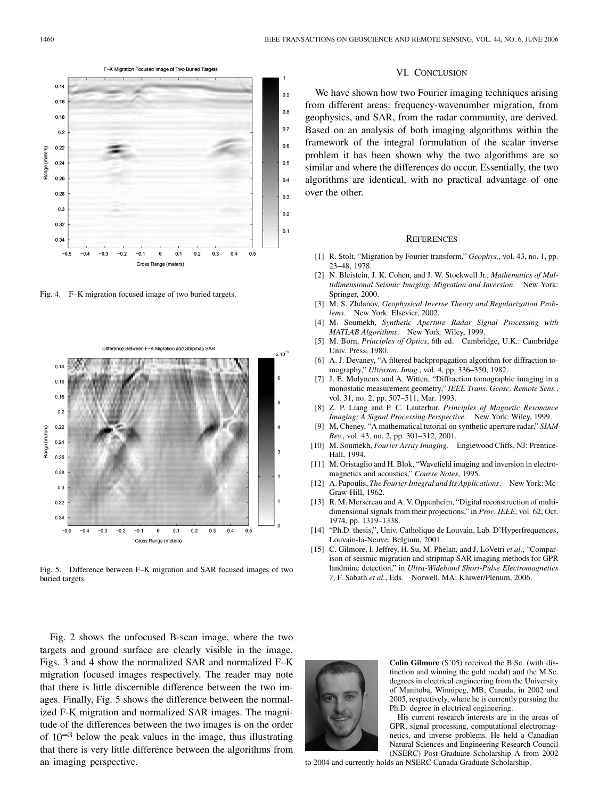<span id="page-6-0"></span>

Fig. 4. F–K migration focused image of two buried targets.



Fig. 5. Difference between F–K migration and SAR focused images of two buried targets.

Fig. 2 shows the unfocused B-scan image, where the two targets and ground surface are clearly visible in the image. Figs. 3 and 4 show the normalized SAR and normalized F–K migration focused images respectively. The reader may note that there is little discernible difference between the two images. Finally, Fig. 5 shows the difference between the normalized F-K migration and normalized SAR images. The magnitude of the differences between the two images is on the order of  $10^{-3}$  below the peak values in the image, thus illustrating that there is very little difference between the algorithms from an imaging perspective.

**Colin Gilmore** (S'05) received the B.Sc. (with distinction and winning the gold medal) and the M.Sc. degrees in electrical engineering from the University of Manitoba, Winnipeg, MB, Canada, in 2002 and 2005, respectively, where he is currently pursuing the Ph.D. degree in electrical engineering.

His current research interests are in the areas of GPR, signal processing, computational electromagnetics, and inverse problems. He held a Canadian Natural Sciences and Engineering Research Council (NSERC) Post-Graduate Scholarship A from 2002

to 2004 and currently holds an NSERC Canada Graduate Scholarship.

VI. CONCLUSION

We have shown how two Fourier imaging techniques arising from different areas: frequency-wavenumber migration, from geophysics, and SAR, from the radar community, are derived. Based on an analysis of both imaging algorithms within the framework of the integral formulation of the scalar inverse problem it has been shown why the two algorithms are so similar and where the differences do occur. Essentially, the two algorithms are identical, with no practical advantage of one over the other.

#### **REFERENCES**

- [1] R. Stolt, "Migration by Fourier transform," *Geophys.*, vol. 43, no. 1, pp. 23–48, 1978.
- [2] N. Bleistein, J. K. Cohen, and J. W. Stockwell Jr., *Mathematics of Multidimensional Seismic Imaging, Migration and Inversion*. New York: Springer, 2000.
- [3] M. S. Zhdanov, *Geophysical Inverse Theory and Regularization Problems*. New York: Elsevier, 2002.
- [4] M. Soumekh, *Synthetic Aperture Radar Signal Processing with MATLAB Algorithms*. New York: Wiley, 1999.
- [5] M. Born, *Principles of Optics*, 6th ed. Cambridge, U.K.: Cambridge Univ. Press, 1980.
- [6] A. J. Devaney, "A filtered backpropagation algorithm for diffraction tomography," *Ultrason. Imag.*, vol. 4, pp. 336–350, 1982.
- [7] J. E. Molyneux and A. Witten, "Diffraction tomographic imaging in a monostatic measurement geometry," *IEEE Trans. Geosc. Remote Sens.*, vol. 31, no. 2, pp. 507–511, Mar. 1993.
- [8] Z. P. Liang and P. C. Lauterbur, *Principles of Magnetic Resonance Imaging: A Signal Processing Perspective*. New York: Wiley, 1999.
- [9] M. Cheney, "A mathematical tutorial on synthetic aperture radar," *SIAM Rev.*, vol. 43, no. 2, pp. 301–312, 2001.
- [10] M. Soumekh, *Fourier Array Imaging*. Englewood Cliffs, NJ: Prentice-Hall, 1994.
- [11] M. Oristaglio and H. Blok, "Wavefield imaging and inversion in electromagnetics and acoustics," *Course Notes*, 1995.
- [12] A. Papoulis, *The Fourier Integral and Its Applications*. New York: Mc-Graw-Hill, 1962.
- [13] R. M. Mersereau and A. V. Oppenheim, "Digital reconstruction of multidimensional signals from their projections," in *Proc. IEEE*, vol. 62, Oct. 1974, pp. 1319–1338.
- [14] "Ph.D. thesis,", Univ. Catholique de Louvain, Lab. D'Hyperfrequences, Louvain-la-Neuve, Belgium, 2001.
- [15] C. Gilmore, I. Jeffrey, H. Su, M. Phelan, and J. LoVetri *et al.*, "Comparison of seismic migration and stripmap SAR imaging methods for GPR landmine detection," in *Ultra-Wideband Short-Pulse Electromagnetics 7*, F. Sabath *et al.*, Eds. Norwell, MA: Kluwer/Plenum, 2006.

F-K Migration Focused Image of Two Buried Targets